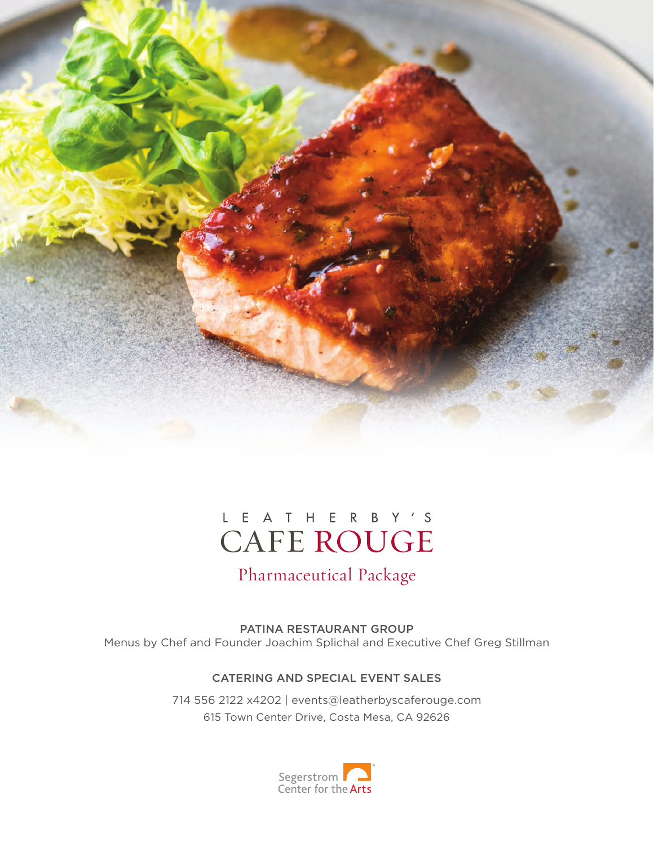

## L E A T H E R B Y 'S **CAFE ROUGE**

## Pharmaceutical Package

PATINA RESTAURANT GROUP Menus by Chef and Founder Joachim Splichal and Executive Chef Greg Stillman

### CATERING AND SPECIAL EVENT SALES

714 556 2122 x4202 | events@leatherbyscaferouge.com 615 Town Center Drive, Costa Mesa, CA 92626

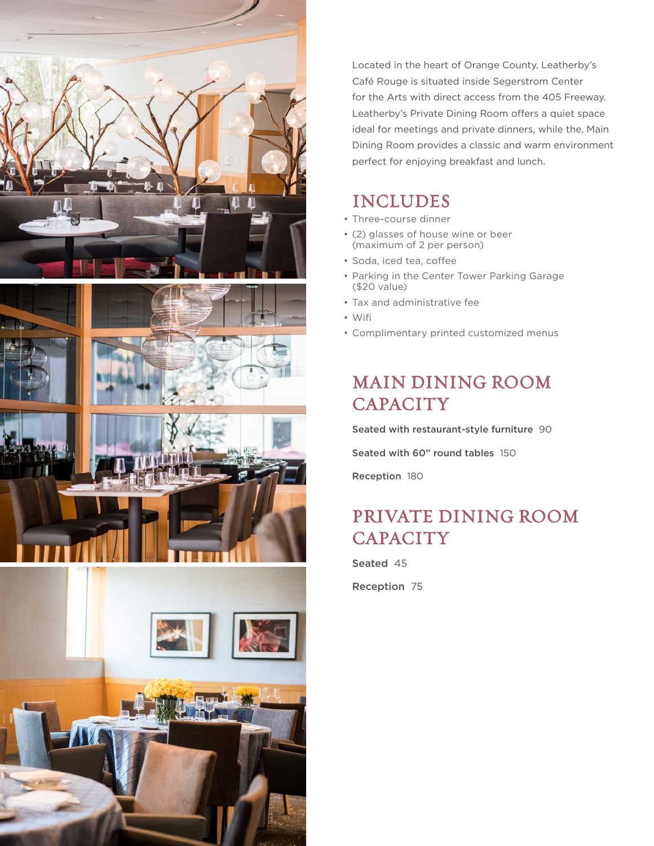

Located in the heart of Orange County, Leatherby's Café Rouge is situated inside Segerstrom Center for the Arts with direct access from the 405 Freeway. Leatherby's Private Dining Room offers a quiet space ideal for meetings and private dinners, while the, Main Dining Room provides a classic and warm environment perfect for enjoying breakfast and lunch.

### INCLUDES

- Three-course dinner
- (2) glasses of house wine or beer (maximum of 2 per person)
- Soda, iced tea, coffee
- Parking in the Center Tower Parking Garage (\$20 value)
- Tax and administrative fee •
- Wifi •
- Complimentary printed customized menus •

## MAIN DINING ROOM **CAPACITY**

Seated with restaurant-style furniture 90 Seated with 60" round tables 150 Reception 180

## PRIVATE DINING ROOM **CAPACITY**

Seated 45

Reception 75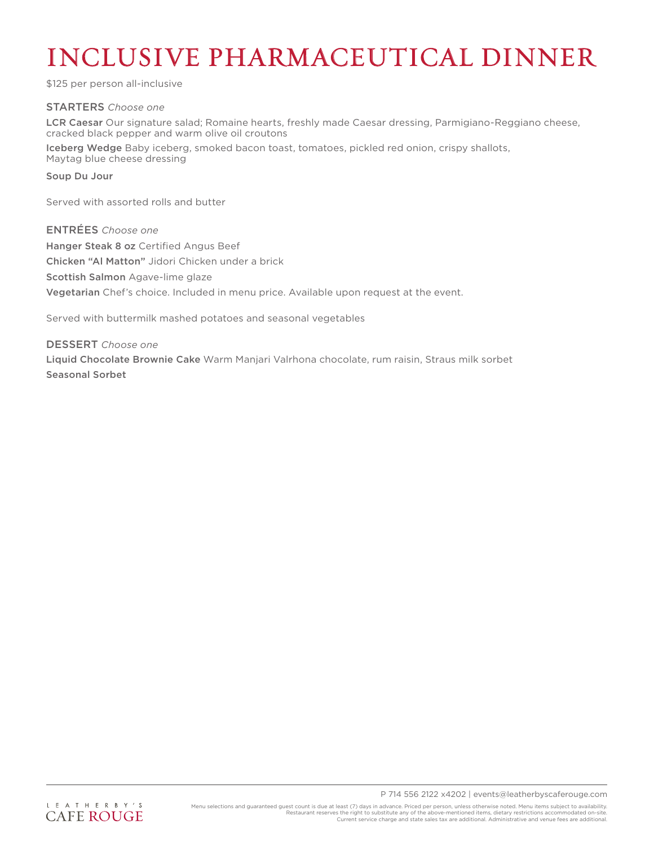# INCLUSIVE PHARMACEUTICAL DINNER

\$125 per person all-inclusive

#### STARTERS *Choose one*

LCR Caesar Our signature salad; Romaine hearts, freshly made Caesar dressing, Parmigiano-Reggiano cheese, cracked black pepper and warm olive oil croutons

Iceberg Wedge Baby iceberg, smoked bacon toast, tomatoes, pickled red onion, crispy shallots, Maytag blue cheese dressing

#### Soup Du Jour

Served with assorted rolls and butter

ENTRÉES *Choose one* Hanger Steak 8 oz Certified Angus Beef Chicken "Al Matton" Jidori Chicken under a brick Scottish Salmon Agave-lime glaze Vegetarian Chef's choice. Included in menu price. Available upon request at the event.

Served with buttermilk mashed potatoes and seasonal vegetables

DESSERT *Choose one* Liquid Chocolate Brownie Cake Warm Manjari Valrhona chocolate, rum raisin, Straus milk sorbet Seasonal Sorbet